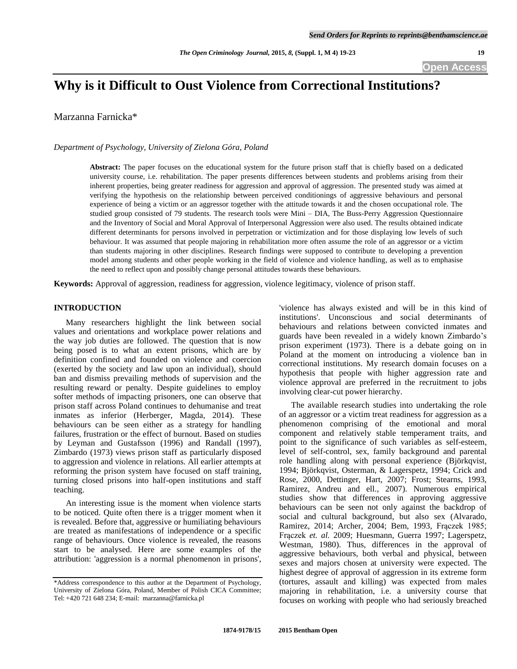# **Why is it Difficult to Oust Violence from Correctional Institutions?**

Marzanna Farnicka\*

*Department of Psychology, University of Zielona Góra, Poland*

**Abstract:** The paper focuses on the educational system for the future prison staff that is chiefly based on a dedicated university course, i.e. rehabilitation. The paper presents differences between students and problems arising from their inherent properties, being greater readiness for aggression and approval of aggression. The presented study was aimed at verifying the hypothesis on the relationship between perceived conditionings of aggressive behaviours and personal experience of being a victim or an aggressor together with the attitude towards it and the chosen occupational role. The studied group consisted of 79 students. The research tools were Mini – DIA, The Buss-Perry Aggression Questionnaire and the Inventory of Social and Moral Approval of Interpersonal Aggression were also used. The results obtained indicate different determinants for persons involved in perpetration or victimization and for those displaying low levels of such behaviour. It was assumed that people majoring in rehabilitation more often assume the role of an aggressor or a victim than students majoring in other disciplines. Research findings were supposed to contribute to developing a prevention model among students and other people working in the field of violence and violence handling, as well as to emphasise the need to reflect upon and possibly change personal attitudes towards these behaviours.

**Keywords:** Approval of aggression, readiness for aggression, violence legitimacy, violence of prison staff.

## **INTRODUCTION**

Many researchers highlight the link between social values and orientations and workplace power relations and the way job duties are followed. The question that is now being posed is to what an extent prisons, which are by definition confined and founded on violence and coercion (exerted by the society and law upon an individual), should ban and dismiss prevailing methods of supervision and the resulting reward or penalty. Despite guidelines to employ softer methods of impacting prisoners, one can observe that prison staff across Poland continues to dehumanise and treat inmates as inferior (Herberger, Magda, 2014). These behaviours can be seen either as a strategy for handling failures, frustration or the effect of burnout. Based on studies by Leyman and Gustafsson (1996) and Randall (1997), Zimbardo (1973) views prison staff as particularly disposed to aggression and violence in relations. All earlier attempts at reforming the prison system have focused on staff training, turning closed prisons into half-open institutions and staff teaching.

An interesting issue is the moment when violence starts to be noticed. Quite often there is a trigger moment when it is revealed. Before that, aggressive or humiliating behaviours are treated as manifestations of independence or a specific range of behaviours. Once violence is revealed, the reasons start to be analysed. Here are some examples of the attribution: 'aggression is a normal phenomenon in prisons', 'violence has always existed and will be in this kind of institutions'. Unconscious and social determinants of behaviours and relations between convicted inmates and guards have been revealed in a widely known Zimbardo's prison experiment (1973). There is a debate going on in Poland at the moment on introducing a violence ban in correctional institutions. My research domain focuses on a hypothesis that people with higher aggression rate and violence approval are preferred in the recruitment to jobs involving clear-cut power hierarchy.

The available research studies into undertaking the role of an aggressor or a victim treat readiness for aggression as a phenomenon comprising of the emotional and moral component and relatively stable temperament traits, and point to the significance of such variables as self-esteem, level of self-control, sex, family background and parental role handling along with personal experience (Björkqvist, 1994; Björkqvist, Osterman, & Lagerspetz, 1994; Crick and Rose, 2000, Dettinger, Hart, 2007; Frost; Stearns, 1993, Ramirez, Andreu and ell., 2007). Numerous empirical studies show that differences in approving aggressive behaviours can be seen not only against the backdrop of social and cultural background, but also sex (Alvarado, Ramirez, 2014; Archer, 2004; Bem, 1993, Frączek 1985; Frączek *et. al.* 2009; Huesmann, Guerra 1997; Lagerspetz, Westman, 1980). Thus, differences in the approval of aggressive behaviours, both verbal and physical, between sexes and majors chosen at university were expected. The highest degree of approval of aggression in its extreme form (tortures, assault and killing) was expected from males majoring in rehabilitation, i.e. a university course that focuses on working with people who had seriously breached

<sup>\*</sup>Address correspondence to this author at the Department of Psychology, University of Zielona Góra, Poland, Member of Polish CICA Committee; Tel: +420 721 648 234; E-mail: marzanna@farnicka.pl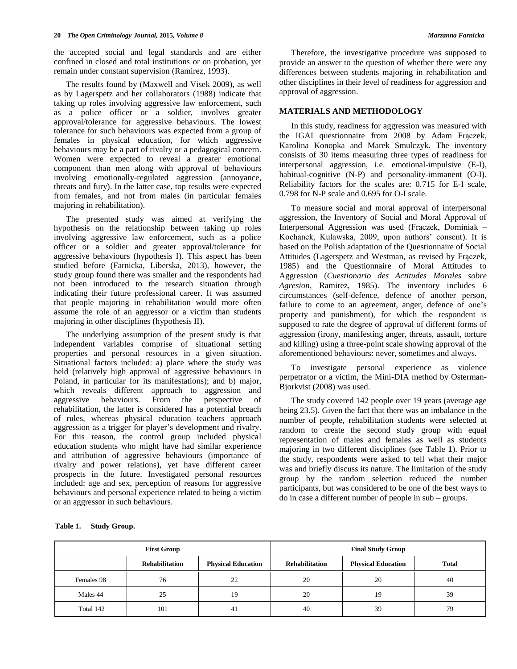the accepted social and legal standards and are either confined in closed and total institutions or on probation, yet remain under constant supervision (Ramirez, 1993).

The results found by (Maxwell and Visek 2009), as well as by Lagerspetz and her collaborators (1988) indicate that taking up roles involving aggressive law enforcement, such as a police officer or a soldier, involves greater approval/tolerance for aggressive behaviours. The lowest tolerance for such behaviours was expected from a group of females in physical education, for which aggressive behaviours may be a part of rivalry or a pedagogical concern. Women were expected to reveal a greater emotional component than men along with approval of behaviours involving emotionally-regulated aggression (annoyance, threats and fury). In the latter case, top results were expected from females, and not from males (in particular females majoring in rehabilitation).

The presented study was aimed at verifying the hypothesis on the relationship between taking up roles involving aggressive law enforcement, such as a police officer or a soldier and greater approval/tolerance for aggressive behaviours (hypothesis I). This aspect has been studied before (Farnicka, Liberska, 2013), however, the study group found there was smaller and the respondents had not been introduced to the research situation through indicating their future professional career. It was assumed that people majoring in rehabilitation would more often assume the role of an aggressor or a victim than students majoring in other disciplines (hypothesis II).

The underlying assumption of the present study is that independent variables comprise of situational setting properties and personal resources in a given situation. Situational factors included: a) place where the study was held (relatively high approval of aggressive behaviours in Poland, in particular for its manifestations); and b) major, which reveals different approach to aggression and aggressive behaviours. From the perspective of rehabilitation, the latter is considered has a potential breach of rules, whereas physical education teachers approach aggression as a trigger for player's development and rivalry. For this reason, the control group included physical education students who might have had similar experience and attribution of aggressive behaviours (importance of rivalry and power relations), yet have different career prospects in the future. Investigated personal resources included: age and sex, perception of reasons for aggressive behaviours and personal experience related to being a victim or an aggressor in such behaviours.

Therefore, the investigative procedure was supposed to provide an answer to the question of whether there were any differences between students majoring in rehabilitation and other disciplines in their level of readiness for aggression and approval of aggression.

## **MATERIALS AND METHODOLOGY**

In this study, readiness for aggression was measured with the IGAI questionnaire from 2008 by Adam Frączek, Karolina Konopka and Marek Smulczyk. The inventory consists of 30 items measuring three types of readiness for interpersonal aggression, i.e. emotional-impulsive (E-I), habitual-cognitive (N-P) and personality-immanent (O-I). Reliability factors for the scales are: 0.715 for E-I scale, 0.798 for N-P scale and 0.695 for O-I scale.

To measure social and moral approval of interpersonal aggression, the Inventory of Social and Moral Approval of Interpersonal Aggression was used (Frączek, Dominiak – Kochanek, Kulawska, 2009, upon authors' consent). It is based on the Polish adaptation of the Questionnaire of Social Attitudes (Lagerspetz and Westman, as revised by Frączek, 1985) and the Questionnaire of Moral Attitudes to Aggression (*Cuestionario des Actitudes Morales sobre Agresion*, Ramirez, 1985). The inventory includes 6 circumstances (self-defence, defence of another person, failure to come to an agreement, anger, defence of one's property and punishment), for which the respondent is supposed to rate the degree of approval of different forms of aggression (irony, manifesting anger, threats, assault, torture and killing) using a three-point scale showing approval of the aforementioned behaviours: never, sometimes and always.

To investigate personal experience as violence perpetrator or a victim, the Mini-DIA method by Osterman-Bjorkvist (2008) was used.

The study covered 142 people over 19 years (average age being 23.5). Given the fact that there was an imbalance in the number of people, rehabilitation students were selected at random to create the second study group with equal representation of males and females as well as students majoring in two different disciplines (see Table **1**). Prior to the study, respondents were asked to tell what their major was and briefly discuss its nature. The limitation of the study group by the random selection reduced the number participants, but was considered to be one of the best ways to do in case a different number of people in sub – groups.

| <b>First Group</b> |                       |                           | <b>Final Study Group</b> |                           |              |
|--------------------|-----------------------|---------------------------|--------------------------|---------------------------|--------------|
|                    | <b>Rehabilitation</b> | <b>Physical Education</b> | <b>Rehabilitation</b>    | <b>Physical Education</b> | <b>Total</b> |
| Females 98         | 76                    | 22                        | 20                       | 20                        | 40           |
| Males 44           | 25                    | 19                        | 20                       | 19                        | 39           |
| Total 142          | 101                   | 41                        | 40                       | 39                        | 79           |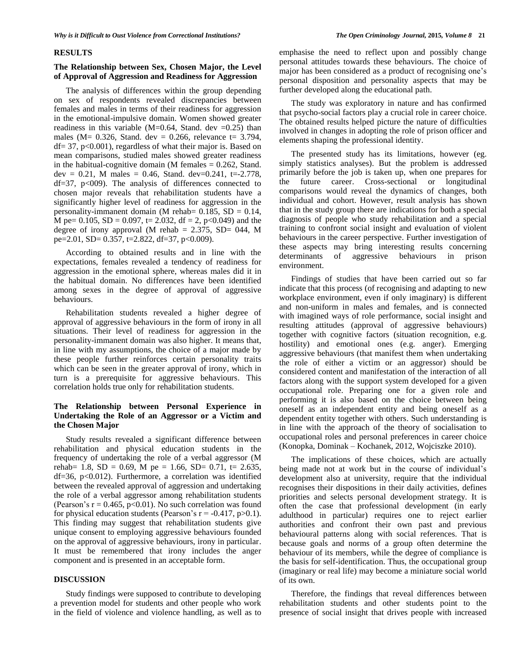#### **RESULTS**

### **The Relationship between Sex, Chosen Major, the Level of Approval of Aggression and Readiness for Aggression**

The analysis of differences within the group depending on sex of respondents revealed discrepancies between females and males in terms of their readiness for aggression in the emotional-impulsive domain. Women showed greater readiness in this variable (M=0.64, Stand. dev =0.25) than males (M=  $0.326$ , Stand. dev = 0.266, relevance t= 3.794,  $df = 37$ ,  $p < 0.001$ ), regardless of what their major is. Based on mean comparisons, studied males showed greater readiness in the habitual-cognitive domain (M females  $= 0.262$ , Stand. dev = 0.21, M males = 0.46, Stand. dev=0.241, t=-2.778,  $df=37$ ,  $p<009$ ). The analysis of differences connected to chosen major reveals that rehabilitation students have a significantly higher level of readiness for aggression in the personality-immanent domain (M rehab=  $0.185$ , SD =  $0.14$ , M pe= 0.105, SD = 0.097, t= 2.032, df = 2, p<0.049) and the degree of irony approval (M rehab =  $2.375$ , SD= 044, M pe=2.01, SD= 0.357, t=2.822, df=37, p<0.009).

According to obtained results and in line with the expectations, females revealed a tendency of readiness for aggression in the emotional sphere, whereas males did it in the habitual domain. No differences have been identified among sexes in the degree of approval of aggressive behaviours.

Rehabilitation students revealed a higher degree of approval of aggressive behaviours in the form of irony in all situations. Their level of readiness for aggression in the personality-immanent domain was also higher. It means that, in line with my assumptions, the choice of a major made by these people further reinforces certain personality traits which can be seen in the greater approval of irony, which in turn is a prerequisite for aggressive behaviours. This correlation holds true only for rehabilitation students.

## **The Relationship between Personal Experience in Undertaking the Role of an Aggressor or a Victim and the Chosen Major**

Study results revealed a significant difference between rehabilitation and physical education students in the frequency of undertaking the role of a verbal aggressor (M rehab= 1.8, SD = 0.69, M pe = 1.66, SD= 0.71, t= 2.635, df=36, p<0.012). Furthermore, a correlation was identified between the revealed approval of aggression and undertaking the role of a verbal aggressor among rehabilitation students (Pearson's  $r = 0.465$ ,  $p < 0.01$ ). No such correlation was found for physical education students (Pearson's  $r = -0.417$ , p $>0.1$ ). This finding may suggest that rehabilitation students give unique consent to employing aggressive behaviours founded on the approval of aggressive behaviours, irony in particular. It must be remembered that irony includes the anger component and is presented in an acceptable form.

## **DISCUSSION**

Study findings were supposed to contribute to developing a prevention model for students and other people who work in the field of violence and violence handling, as well as to emphasise the need to reflect upon and possibly change personal attitudes towards these behaviours. The choice of major has been considered as a product of recognising one's personal disposition and personality aspects that may be further developed along the educational path.

The study was exploratory in nature and has confirmed that psycho-social factors play a crucial role in career choice. The obtained results helped picture the nature of difficulties involved in changes in adopting the role of prison officer and elements shaping the professional identity.

The presented study has its limitations, however (eg. simply statistics analyses). But the problem is addressed primarily before the job is taken up, when one prepares for the future career. Cross-sectional or longitudinal comparisons would reveal the dynamics of changes, both individual and cohort. However, result analysis has shown that in the study group there are indications for both a special diagnosis of people who study rehabilitation and a special training to confront social insight and evaluation of violent behaviours in the career perspective. Further investigation of these aspects may bring interesting results concerning determinants of aggressive behaviours in prison environment.

Findings of studies that have been carried out so far indicate that this process (of recognising and adapting to new workplace environment, even if only imaginary) is different and non-uniform in males and females, and is connected with imagined ways of role performance, social insight and resulting attitudes (approval of aggressive behaviours) together with cognitive factors (situation recognition, e.g. hostility) and emotional ones (e.g. anger). Emerging aggressive behaviours (that manifest them when undertaking the role of either a victim or an aggressor) should be considered content and manifestation of the interaction of all factors along with the support system developed for a given occupational role. Preparing one for a given role and performing it is also based on the choice between being oneself as an independent entity and being oneself as a dependent entity together with others. Such understanding is in line with the approach of the theory of socialisation to occupational roles and personal preferences in career choice (Konopka, Dominak – Kochanek, 2012, Wojciszke 2010).

The implications of these choices, which are actually being made not at work but in the course of individual's development also at university, require that the individual recognises their dispositions in their daily activities, defines priorities and selects personal development strategy. It is often the case that professional development (in early adulthood in particular) requires one to reject earlier authorities and confront their own past and previous behavioural patterns along with social references. That is because goals and norms of a group often determine the behaviour of its members, while the degree of compliance is the basis for self-identification. Thus, the occupational group (imaginary or real life) may become a miniature social world of its own.

Therefore, the findings that reveal differences between rehabilitation students and other students point to the presence of social insight that drives people with increased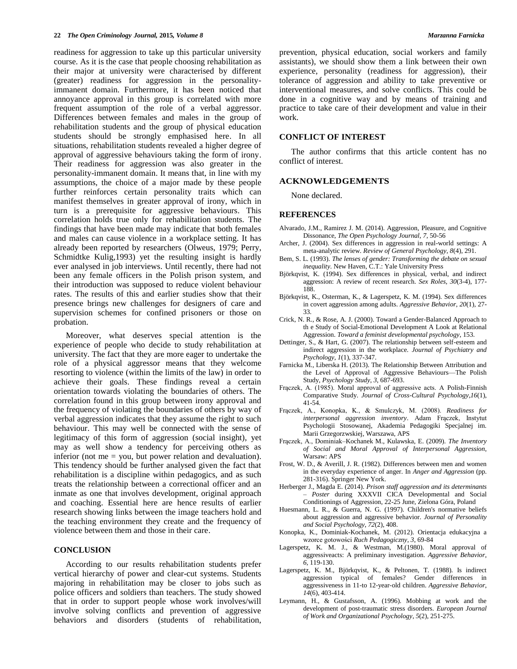readiness for aggression to take up this particular university course. As it is the case that people choosing rehabilitation as their major at university were characterised by different (greater) readiness for aggression in the personalityimmanent domain. Furthermore, it has been noticed that annoyance approval in this group is correlated with more frequent assumption of the role of a verbal aggressor. Differences between females and males in the group of rehabilitation students and the group of physical education students should be strongly emphasised here. In all situations, rehabilitation students revealed a higher degree of approval of aggressive behaviours taking the form of irony. Their readiness for aggression was also greater in the personality-immanent domain. It means that, in line with my assumptions, the choice of a major made by these people further reinforces certain personality traits which can manifest themselves in greater approval of irony, which in turn is a prerequisite for aggressive behaviours. This correlation holds true only for rehabilitation students. The findings that have been made may indicate that both females and males can cause violence in a workplace setting. It has already been reported by researchers (Olweus, 1979; Perry, Schmidtke Kulig,1993) yet the resulting insight is hardly ever analysed in job interviews. Until recently, there had not been any female officers in the Polish prison system, and their introduction was supposed to reduce violent behaviour rates. The results of this and earlier studies show that their presence brings new challenges for designers of care and supervision schemes for confined prisoners or those on probation.

Moreover, what deserves special attention is the experience of people who decide to study rehabilitation at university. The fact that they are more eager to undertake the role of a physical aggressor means that they welcome resorting to violence (within the limits of the law) in order to achieve their goals. These findings reveal a certain orientation towards violating the boundaries of others. The correlation found in this group between irony approval and the frequency of violating the boundaries of others by way of verbal aggression indicates that they assume the right to such behaviour. This may well be connected with the sense of legitimacy of this form of aggression (social insight), yet may as well show a tendency for perceiving others as inferior (not me = you, but power relation and devaluation). This tendency should be further analysed given the fact that rehabilitation is a discipline within pedagogics, and as such treats the relationship between a correctional officer and an inmate as one that involves development, original approach and coaching. Essential here are hence results of earlier research showing links between the image teachers hold and the teaching environment they create and the frequency of violence between them and those in their care.

#### **CONCLUSION**

According to our results rehabilitation students prefer vertical hierarchy of power and clear-cut systems. Students majoring in rehabilitation may be closer to jobs such as police officers and soldiers than teachers. The study showed that in order to support people whose work involves/will involve solving conflicts and prevention of aggressive behaviors and disorders (students of rehabilitation,

prevention, physical education, social workers and family assistants), we should show them a link between their own experience, personality (readiness for aggression), their tolerance of aggression and ability to take preventive or interventional measures, and solve conflicts. This could be done in a cognitive way and by means of training and practice to take care of their development and value in their work.

## **CONFLICT OF INTEREST**

The author confirms that this article content has no conflict of interest.

#### **ACKNOWLEDGEMENTS**

None declared.

#### **REFERENCES**

- Alvarado, J.M., Ramirez J. M. (2014). Aggression, Pleasure, and Cognitive Dissonance, *The Open Psychology Journal, 7*, 50-56
- Archer, J. (2004). Sex differences in aggression in real-world settings: A meta-analytic review. *Review of General Psychology*, *8*(4), 291.
- Bem, S. L. (1993). *The lenses of gender: Transforming the debate on sexual inequality*. New Haven, C.T.: Yale University Press
- Björkqvist, K. (1994). Sex differences in physical, verbal, and indirect aggression: A review of recent research. *Sex Roles*, *30*(3-4), 177- 188.
- Björkqvist, K., Osterman, K., & Lagerspetz, K. M. (1994). Sex differences in covert aggression among adults. *Aggressive Behavior*, *20*(1), 27- 33.
- Crick, N. R., & Rose, A. J. (2000). Toward a Gender-Balanced Approach to th e Study of Social-Emotional Development A Look at Relational Aggression. *Toward a feminist developmental psychology*, 153.
- Dettinger, S., & Hart, G. (2007). The relationship between self-esteem and indirect aggression in the workplace. *Journal of Psychiatry and Psychology*, *1*(1), 337-347.
- Farnicka M., Liberska H. (2013). The Relationship Between Attribution and the Level of Approval of Aggressive Behaviours—The Polish Study, *Psychology Study*, *3*, 687-693.
- Frączek, A. (1985). Moral approval of aggressive acts. A Polish-Finnish Comparative Study. *Journal of Cross-Cultural Psychology*,*16*(1), 41-54.
- Frączek, A., Konopka, K., & Smulczyk, M. (2008). *Readiness for interpersonal aggression inventory*. Adam Frączek, Instytut Psychologii Stosowanej, Akademia Pedagogiki Specjalnej im. Marii Grzegorzwskiej, Warszawa, APS
- Frączek, A., Dominiak–Kochanek M., Kulawska, E. (2009). *The Inventory of Social and Moral Approval of Interpersonal Aggression*, Warsaw: APS
- Frost, W. D., & Averill, J. R. (1982). Differences between men and women in the everyday experience of anger. In *Anger and Aggression* (pp. 281-316). Springer New York.
- Herberger J., Magda E. (2014). *Prison staff aggression and its determinants – Poster* during XXXVII CICA Developmental and Social Conditionings of Aggression, 22-25 June, Zielona Góra, Poland
- Huesmann, L. R., & Guerra, N. G. (1997). Children's normative beliefs about aggression and aggressive behavior. *Journal of Personality and Social Psychology*, *72*(2), 408.
- Konopka, K., Dominiak-Kochanek, M. (2012). Orientacja edukacyjna a wzorce gotowości *Ruch Pedagogiczny*, *3*, 69-84
- Lagerspetz, K. M. J., & Westman, M.(1980). Moral approval of aggressiveacts: A preliminary investigation. *Aggressive Behavior*, *6*, 119-130.
- Lagerspetz, K. M., Björkqvist, K., & Peltonen, T. (1988). Is indirect aggression typical of females? Gender differences in aggressiveness in 11‐to 12‐year‐old children. *Aggressive Behavior*, *14*(6), 403-414.
- Leymann, H., & Gustafsson, A. (1996). Mobbing at work and the development of post-traumatic stress disorders. *European Journal of Work and Organizational Psychology*, *5*(2), 251-275.